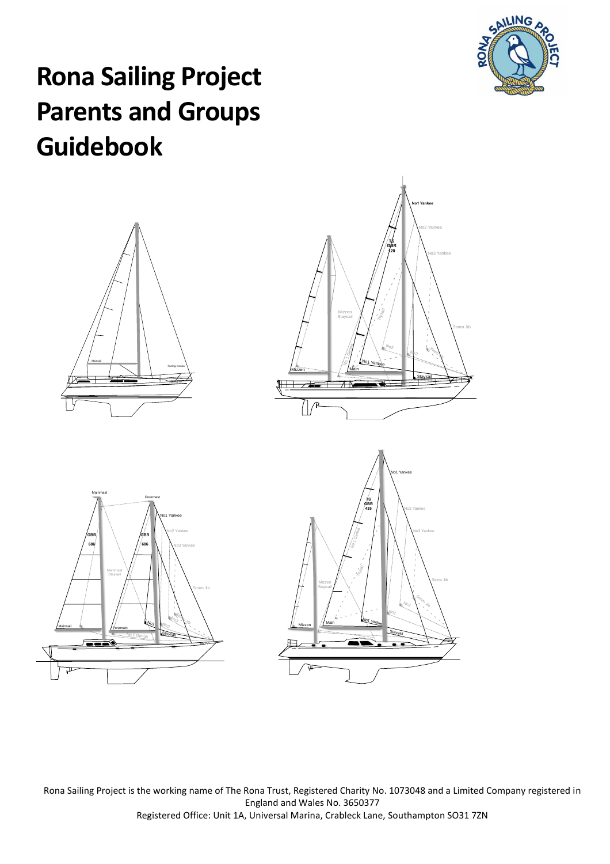

# **Rona Sailing Project Parents and Groups Guidebook**









Rona Sailing Project is the working name of The Rona Trust, Registered Charity No. 1073048 and a Limited Company registered in England and Wales No. 3650377 Registered Office: Unit 1A, Universal Marina, Crableck Lane, Southampton SO31 7ZN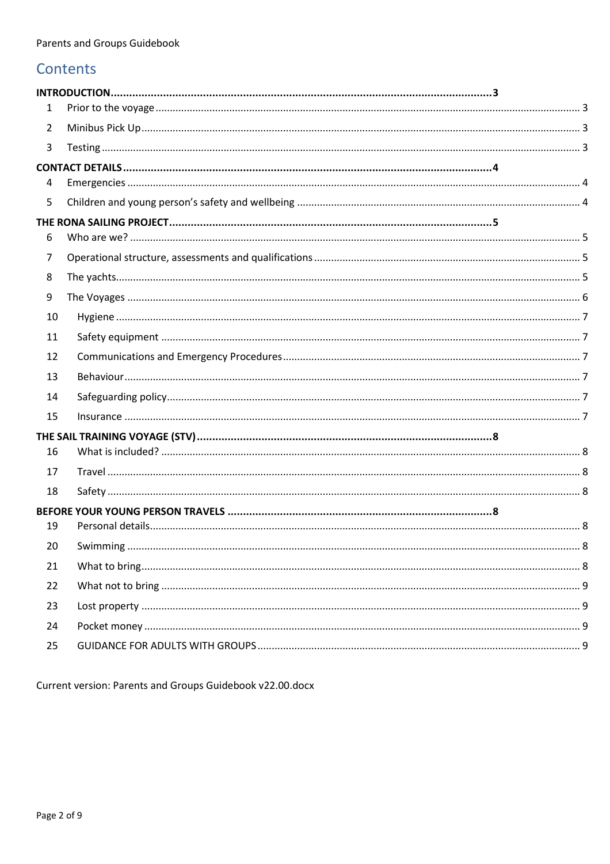## Contents

| 1              |          |  |
|----------------|----------|--|
| $\overline{2}$ |          |  |
| 3              |          |  |
|                |          |  |
| 4              |          |  |
| 5              |          |  |
| 6              |          |  |
| 7              |          |  |
| 8              |          |  |
| 9              |          |  |
| 10             |          |  |
| 11             |          |  |
| 12             |          |  |
| 13             |          |  |
| 14             |          |  |
| 15             |          |  |
|                |          |  |
| 16             |          |  |
| 17             |          |  |
| 18             |          |  |
|                |          |  |
| 19             |          |  |
| 20             | Swimming |  |
| 21             |          |  |
| 22             |          |  |
| 23             |          |  |
| 24             |          |  |
| 25             |          |  |

Current version: Parents and Groups Guidebook v22.00.docx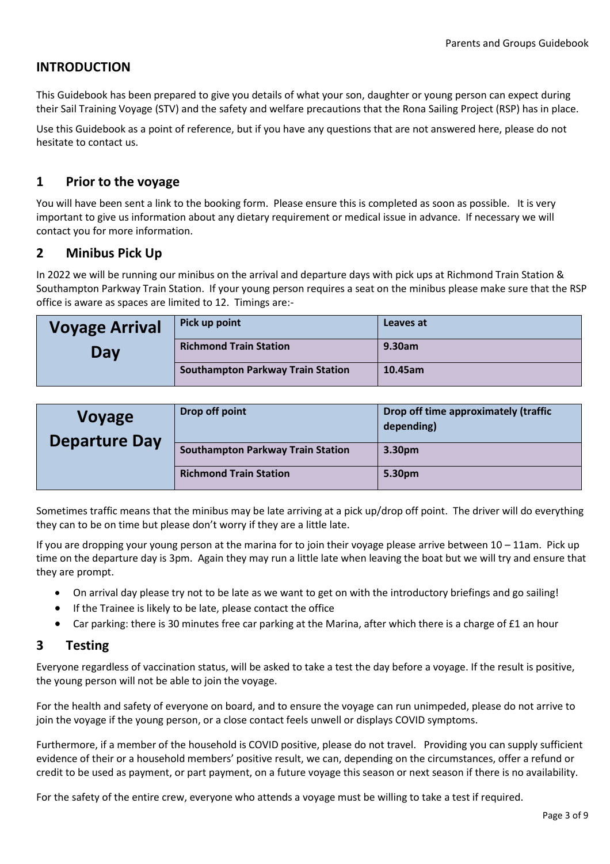## <span id="page-2-0"></span>**INTRODUCTION**

This Guidebook has been prepared to give you details of what your son, daughter or young person can expect during their Sail Training Voyage (STV) and the safety and welfare precautions that the Rona Sailing Project (RSP) has in place.

Use this Guidebook as a point of reference, but if you have any questions that are not answered here, please do not hesitate to contact us.

## <span id="page-2-1"></span>**1 Prior to the voyage**

You will have been sent a link to the booking form. Please ensure this is completed as soon as possible. It is very important to give us information about any dietary requirement or medical issue in advance. If necessary we will contact you for more information.

## <span id="page-2-2"></span>**2 Minibus Pick Up**

In 2022 we will be running our minibus on the arrival and departure days with pick ups at Richmond Train Station & Southampton Parkway Train Station. If your young person requires a seat on the minibus please make sure that the RSP office is aware as spaces are limited to 12. Timings are:-

| <b>Voyage Arrival</b> | Pick up point                            | Leaves at |
|-----------------------|------------------------------------------|-----------|
| Day                   | <b>Richmond Train Station</b>            | 9.30am    |
|                       | <b>Southampton Parkway Train Station</b> | 10.45am   |

| <b>Voyage</b><br><b>Departure Day</b> | Drop off point                           | Drop off time approximately (traffic<br>depending) |
|---------------------------------------|------------------------------------------|----------------------------------------------------|
|                                       | <b>Southampton Parkway Train Station</b> | 3.30pm                                             |
|                                       | <b>Richmond Train Station</b>            | 5.30pm                                             |

Sometimes traffic means that the minibus may be late arriving at a pick up/drop off point. The driver will do everything they can to be on time but please don't worry if they are a little late.

If you are dropping your young person at the marina for to join their voyage please arrive between 10 – 11am. Pick up time on the departure day is 3pm. Again they may run a little late when leaving the boat but we will try and ensure that they are prompt.

- On arrival day please try not to be late as we want to get on with the introductory briefings and go sailing!
- If the Trainee is likely to be late, please contact the office
- Car parking: there is 30 minutes free car parking at the Marina, after which there is a charge of £1 an hour

#### <span id="page-2-3"></span>**3 Testing**

Everyone regardless of vaccination status, will be asked to take a test the day before a voyage. If the result is positive, the young person will not be able to join the voyage.

For the health and safety of everyone on board, and to ensure the voyage can run unimpeded, please do not arrive to join the voyage if the young person, or a close contact feels unwell or displays COVID symptoms.

Furthermore, if a member of the household is COVID positive, please do not travel. Providing you can supply sufficient evidence of their or a household members' positive result, we can, depending on the circumstances, offer a refund or credit to be used as payment, or part payment, on a future voyage this season or next season if there is no availability.

For the safety of the entire crew, everyone who attends a voyage must be willing to take a test if required.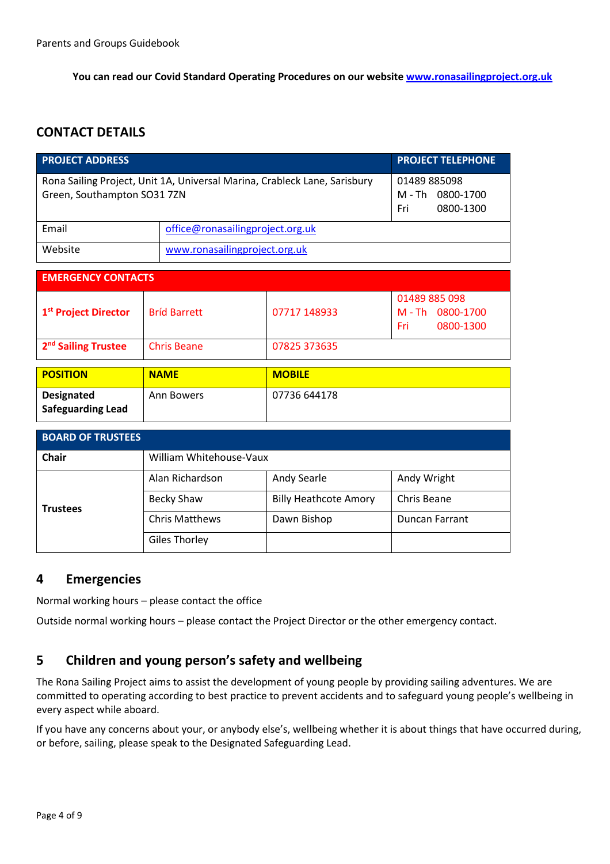**You can read our Covid Standard Operating Procedures on our website [www.ronasailingproject.org.uk](http://www.ronasailingproject.org.uk/)**

## <span id="page-3-0"></span>**CONTACT DETAILS**

| <b>PROJECT ADDRESS</b>                                                                                   | <b>PROJECT TELEPHONE</b>                                |                                  |                                                     |  |  |
|----------------------------------------------------------------------------------------------------------|---------------------------------------------------------|----------------------------------|-----------------------------------------------------|--|--|
| Rona Sailing Project, Unit 1A, Universal Marina, Crableck Lane, Sarisbury<br>Green, Southampton SO31 7ZN | 01489 885098<br>M - Th<br>0800-1700<br>0800-1300<br>Fri |                                  |                                                     |  |  |
| Email                                                                                                    |                                                         | office@ronasailingproject.org.uk |                                                     |  |  |
| Website                                                                                                  |                                                         | www.ronasailingproject.org.uk    |                                                     |  |  |
|                                                                                                          |                                                         |                                  |                                                     |  |  |
| <b>EMERGENCY CONTACTS</b>                                                                                |                                                         |                                  |                                                     |  |  |
| 1 <sup>st</sup> Project Director                                                                         | <b>Bríd Barrett</b>                                     | 07717 148933                     | 01489 885 098<br>M-Th 0800-1700<br>Fri<br>0800-1300 |  |  |
| 2 <sup>nd</sup> Sailing Trustee                                                                          | <b>Chris Beane</b>                                      | 07825 373635                     |                                                     |  |  |
|                                                                                                          |                                                         |                                  |                                                     |  |  |
| <b>POSITION</b>                                                                                          | <b>NAME</b>                                             | <b>MOBILE</b>                    |                                                     |  |  |
| <b>Designated</b><br><b>Safeguarding Lead</b>                                                            | <b>Ann Bowers</b>                                       | 07736 644178                     |                                                     |  |  |
| <b>BOARD OF TRUSTEES</b>                                                                                 |                                                         |                                  |                                                     |  |  |

| <b>Chair</b>    | William Whitehouse-Vaux |                              |                       |  |
|-----------------|-------------------------|------------------------------|-----------------------|--|
|                 | Alan Richardson         | Andy Searle                  | Andy Wright           |  |
| <b>Trustees</b> | Becky Shaw              | <b>Billy Heathcote Amory</b> | Chris Beane           |  |
|                 | <b>Chris Matthews</b>   | Dawn Bishop                  | <b>Duncan Farrant</b> |  |
|                 | <b>Giles Thorley</b>    |                              |                       |  |

#### <span id="page-3-1"></span>**4 Emergencies**

Normal working hours – please contact the office

Outside normal working hours – please contact the Project Director or the other emergency contact.

#### <span id="page-3-2"></span>**5 Children and young person's safety and wellbeing**

The Rona Sailing Project aims to assist the development of young people by providing sailing adventures. We are committed to operating according to best practice to prevent accidents and to safeguard young people's wellbeing in every aspect while aboard.

If you have any concerns about your, or anybody else's, wellbeing whether it is about things that have occurred during, or before, sailing, please speak to the Designated Safeguarding Lead.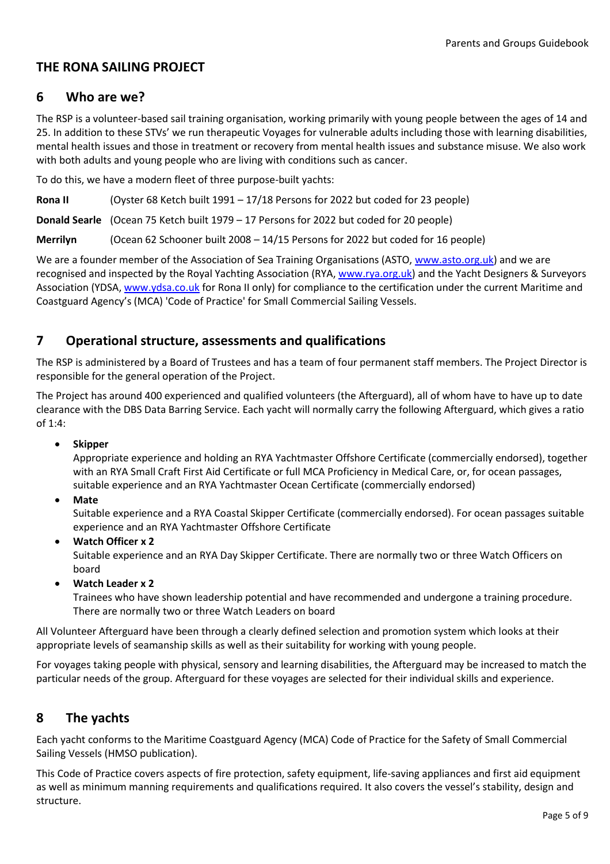## <span id="page-4-0"></span>**THE RONA SAILING PROJECT**

#### <span id="page-4-1"></span>**6 Who are we?**

The RSP is a volunteer-based sail training organisation, working primarily with young people between the ages of 14 and 25. In addition to these STVs' we run therapeutic Voyages for vulnerable adults including those with learning disabilities, mental health issues and those in treatment or recovery from mental health issues and substance misuse. We also work with both adults and young people who are living with conditions such as cancer.

To do this, we have a modern fleet of three purpose-built yachts:

**Rona II** (Oyster 68 Ketch built 1991 – 17/18 Persons for 2022 but coded for 23 people)

**Donald Searle** (Ocean 75 Ketch built 1979 – 17 Persons for 2022 but coded for 20 people)

**Merrilyn** (Ocean 62 Schooner built 2008 – 14/15 Persons for 2022 but coded for 16 people)

We are a founder member of the Association of Sea Training Organisations (ASTO, [www.asto.org.uk\)](http://www.asto.org.uk/) and we are recognised and inspected by the Royal Yachting Association (RYA, [www.rya.org.uk\)](http://www.rya.org.uk/) and the Yacht Designers & Surveyors Association (YDSA, [www.ydsa.co.uk](http://www.ydsa.co.uk/) for Rona II only) for compliance to the certification under the current Maritime and Coastguard Agency's (MCA) 'Code of Practice' for Small Commercial Sailing Vessels.

#### <span id="page-4-2"></span>**7 Operational structure, assessments and qualifications**

The RSP is administered by a Board of Trustees and has a team of four permanent staff members. The Project Director is responsible for the general operation of the Project.

The Project has around 400 experienced and qualified volunteers (the Afterguard), all of whom have to have up to date clearance with the DBS Data Barring Service. Each yacht will normally carry the following Afterguard, which gives a ratio of 1:4:

#### • **Skipper**

Appropriate experience and holding an RYA Yachtmaster Offshore Certificate (commercially endorsed), together with an RYA Small Craft First Aid Certificate or full MCA Proficiency in Medical Care, or, for ocean passages, suitable experience and an RYA Yachtmaster Ocean Certificate (commercially endorsed)

• **Mate**

Suitable experience and a RYA Coastal Skipper Certificate (commercially endorsed). For ocean passages suitable experience and an RYA Yachtmaster Offshore Certificate

• **Watch Officer x 2**

Suitable experience and an RYA Day Skipper Certificate. There are normally two or three Watch Officers on board

• **Watch Leader x 2**

Trainees who have shown leadership potential and have recommended and undergone a training procedure. There are normally two or three Watch Leaders on board

All Volunteer Afterguard have been through a clearly defined selection and promotion system which looks at their appropriate levels of seamanship skills as well as their suitability for working with young people.

For voyages taking people with physical, sensory and learning disabilities, the Afterguard may be increased to match the particular needs of the group. Afterguard for these voyages are selected for their individual skills and experience.

#### <span id="page-4-3"></span>**8 The yachts**

Each yacht conforms to the Maritime Coastguard Agency (MCA) Code of Practice for the Safety of Small Commercial Sailing Vessels (HMSO publication).

This Code of Practice covers aspects of fire protection, safety equipment, life-saving appliances and first aid equipment as well as minimum manning requirements and qualifications required. It also covers the vessel's stability, design and structure.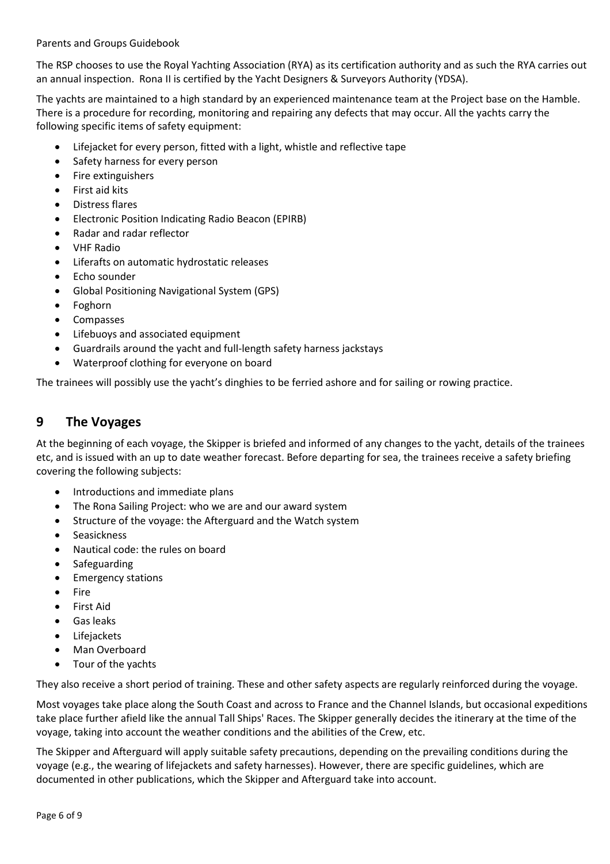Parents and Groups Guidebook

The RSP chooses to use the Royal Yachting Association (RYA) as its certification authority and as such the RYA carries out an annual inspection. Rona II is certified by the Yacht Designers & Surveyors Authority (YDSA).

The yachts are maintained to a high standard by an experienced maintenance team at the Project base on the Hamble. There is a procedure for recording, monitoring and repairing any defects that may occur. All the yachts carry the following specific items of safety equipment:

- Lifejacket for every person, fitted with a light, whistle and reflective tape
- Safety harness for every person
- Fire extinguishers
- First aid kits
- Distress flares
- Electronic Position Indicating Radio Beacon (EPIRB)
- Radar and radar reflector
- VHF Radio
- Liferafts on automatic hydrostatic releases
- Echo sounder
- Global Positioning Navigational System (GPS)
- Foghorn
- **Compasses**
- Lifebuoys and associated equipment
- Guardrails around the yacht and full-length safety harness jackstays
- Waterproof clothing for everyone on board

The trainees will possibly use the yacht's dinghies to be ferried ashore and for sailing or rowing practice.

#### <span id="page-5-0"></span>**9 The Voyages**

At the beginning of each voyage, the Skipper is briefed and informed of any changes to the yacht, details of the trainees etc, and is issued with an up to date weather forecast. Before departing for sea, the trainees receive a safety briefing covering the following subjects:

- Introductions and immediate plans
- The Rona Sailing Project: who we are and our award system
- Structure of the voyage: the Afterguard and the Watch system
- **Seasickness**
- Nautical code: the rules on board
- **Safeguarding**
- Emergency stations
- Fire
- First Aid
- Gas leaks
- Lifejackets
- Man Overboard
- Tour of the yachts

They also receive a short period of training. These and other safety aspects are regularly reinforced during the voyage.

Most voyages take place along the South Coast and across to France and the Channel Islands, but occasional expeditions take place further afield like the annual Tall Ships' Races. The Skipper generally decides the itinerary at the time of the voyage, taking into account the weather conditions and the abilities of the Crew, etc.

The Skipper and Afterguard will apply suitable safety precautions, depending on the prevailing conditions during the voyage (e.g., the wearing of lifejackets and safety harnesses). However, there are specific guidelines, which are documented in other publications, which the Skipper and Afterguard take into account.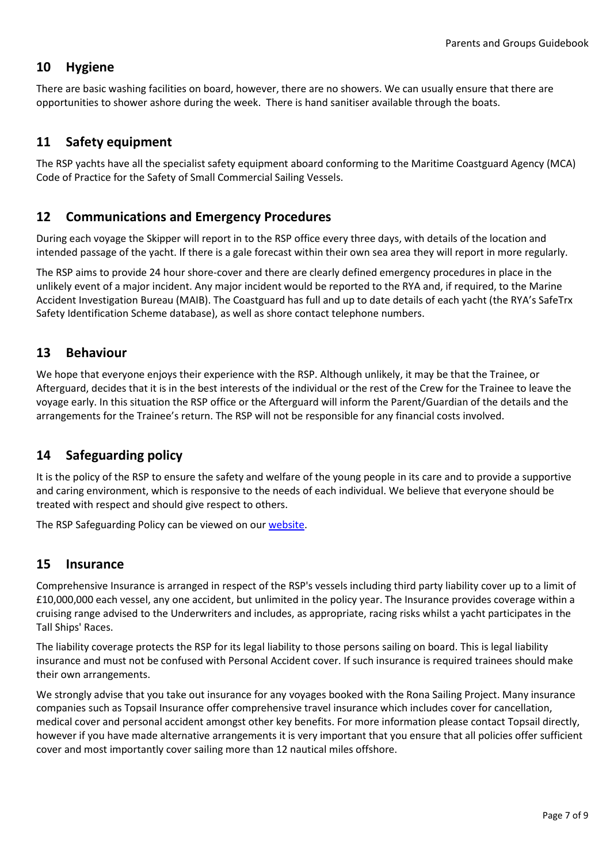## <span id="page-6-0"></span>**10 Hygiene**

There are basic washing facilities on board, however, there are no showers. We can usually ensure that there are opportunities to shower ashore during the week. There is hand sanitiser available through the boats.

## <span id="page-6-1"></span>**11 Safety equipment**

The RSP yachts have all the specialist safety equipment aboard conforming to the Maritime Coastguard Agency (MCA) Code of Practice for the Safety of Small Commercial Sailing Vessels.

## <span id="page-6-2"></span>**12 Communications and Emergency Procedures**

During each voyage the Skipper will report in to the RSP office every three days, with details of the location and intended passage of the yacht. If there is a gale forecast within their own sea area they will report in more regularly.

The RSP aims to provide 24 hour shore-cover and there are clearly defined emergency procedures in place in the unlikely event of a major incident. Any major incident would be reported to the RYA and, if required, to the Marine Accident Investigation Bureau (MAIB). The Coastguard has full and up to date details of each yacht (the RYA's SafeTrx Safety Identification Scheme database), as well as shore contact telephone numbers.

## <span id="page-6-3"></span>**13 Behaviour**

We hope that everyone enjoys their experience with the RSP. Although unlikely, it may be that the Trainee, or Afterguard, decides that it is in the best interests of the individual or the rest of the Crew for the Trainee to leave the voyage early. In this situation the RSP office or the Afterguard will inform the Parent/Guardian of the details and the arrangements for the Trainee's return. The RSP will not be responsible for any financial costs involved.

## <span id="page-6-4"></span>**14 Safeguarding policy**

It is the policy of the RSP to ensure the safety and welfare of the young people in its care and to provide a supportive and caring environment, which is responsive to the needs of each individual. We believe that everyone should be treated with respect and should give respect to others.

The RSP Safeguarding Policy can be viewed on our [website.](https://www.ronasailingproject.org.uk/)

#### <span id="page-6-5"></span>**15 Insurance**

Comprehensive Insurance is arranged in respect of the RSP's vessels including third party liability cover up to a limit of £10,000,000 each vessel, any one accident, but unlimited in the policy year. The Insurance provides coverage within a cruising range advised to the Underwriters and includes, as appropriate, racing risks whilst a yacht participates in the Tall Ships' Races.

The liability coverage protects the RSP for its legal liability to those persons sailing on board. This is legal liability insurance and must not be confused with Personal Accident cover. If such insurance is required trainees should make their own arrangements.

We strongly advise that you take out insurance for any voyages booked with the Rona Sailing Project. Many insurance companies such as Topsail Insurance offer comprehensive travel insurance which includes cover for cancellation, medical cover and personal accident amongst other key benefits. For more information please contact Topsail directly, however if you have made alternative arrangements it is very important that you ensure that all policies offer sufficient cover and most importantly cover sailing more than 12 nautical miles offshore.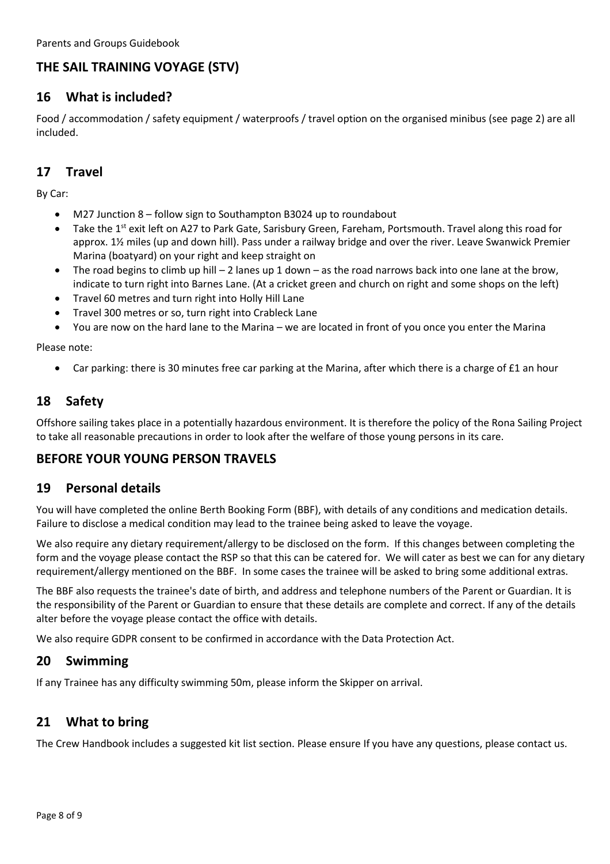## <span id="page-7-0"></span>**THE SAIL TRAINING VOYAGE (STV)**

## <span id="page-7-1"></span>**16 What is included?**

Food / accommodation / safety equipment / waterproofs / travel option on the organised minibus (see page 2) are all included.

## <span id="page-7-2"></span>**17 Travel**

By Car:

- M27 Junction 8 follow sign to Southampton B3024 up to roundabout
- Take the 1<sup>st</sup> exit left on A27 to Park Gate, Sarisbury Green, Fareham, Portsmouth. Travel along this road for approx. 1½ miles (up and down hill). Pass under a railway bridge and over the river. Leave Swanwick Premier Marina (boatyard) on your right and keep straight on
- The road begins to climb up hill  $-2$  lanes up 1 down  $-$  as the road narrows back into one lane at the brow, indicate to turn right into Barnes Lane. (At a cricket green and church on right and some shops on the left)
- Travel 60 metres and turn right into Holly Hill Lane
- Travel 300 metres or so, turn right into Crableck Lane
- You are now on the hard lane to the Marina we are located in front of you once you enter the Marina

Please note:

• Car parking: there is 30 minutes free car parking at the Marina, after which there is a charge of £1 an hour

## <span id="page-7-3"></span>**18 Safety**

Offshore sailing takes place in a potentially hazardous environment. It is therefore the policy of the Rona Sailing Project to take all reasonable precautions in order to look after the welfare of those young persons in its care.

#### <span id="page-7-4"></span>**BEFORE YOUR YOUNG PERSON TRAVELS**

#### <span id="page-7-5"></span>**19 Personal details**

You will have completed the online Berth Booking Form (BBF), with details of any conditions and medication details. Failure to disclose a medical condition may lead to the trainee being asked to leave the voyage.

We also require any dietary requirement/allergy to be disclosed on the form. If this changes between completing the form and the voyage please contact the RSP so that this can be catered for. We will cater as best we can for any dietary requirement/allergy mentioned on the BBF. In some cases the trainee will be asked to bring some additional extras.

The BBF also requests the trainee's date of birth, and address and telephone numbers of the Parent or Guardian. It is the responsibility of the Parent or Guardian to ensure that these details are complete and correct. If any of the details alter before the voyage please contact the office with details.

We also require GDPR consent to be confirmed in accordance with the Data Protection Act.

#### <span id="page-7-6"></span>**20 Swimming**

If any Trainee has any difficulty swimming 50m, please inform the Skipper on arrival.

#### <span id="page-7-7"></span>**21 What to bring**

The Crew Handbook includes a suggested kit list section. Please ensure If you have any questions, please contact us.